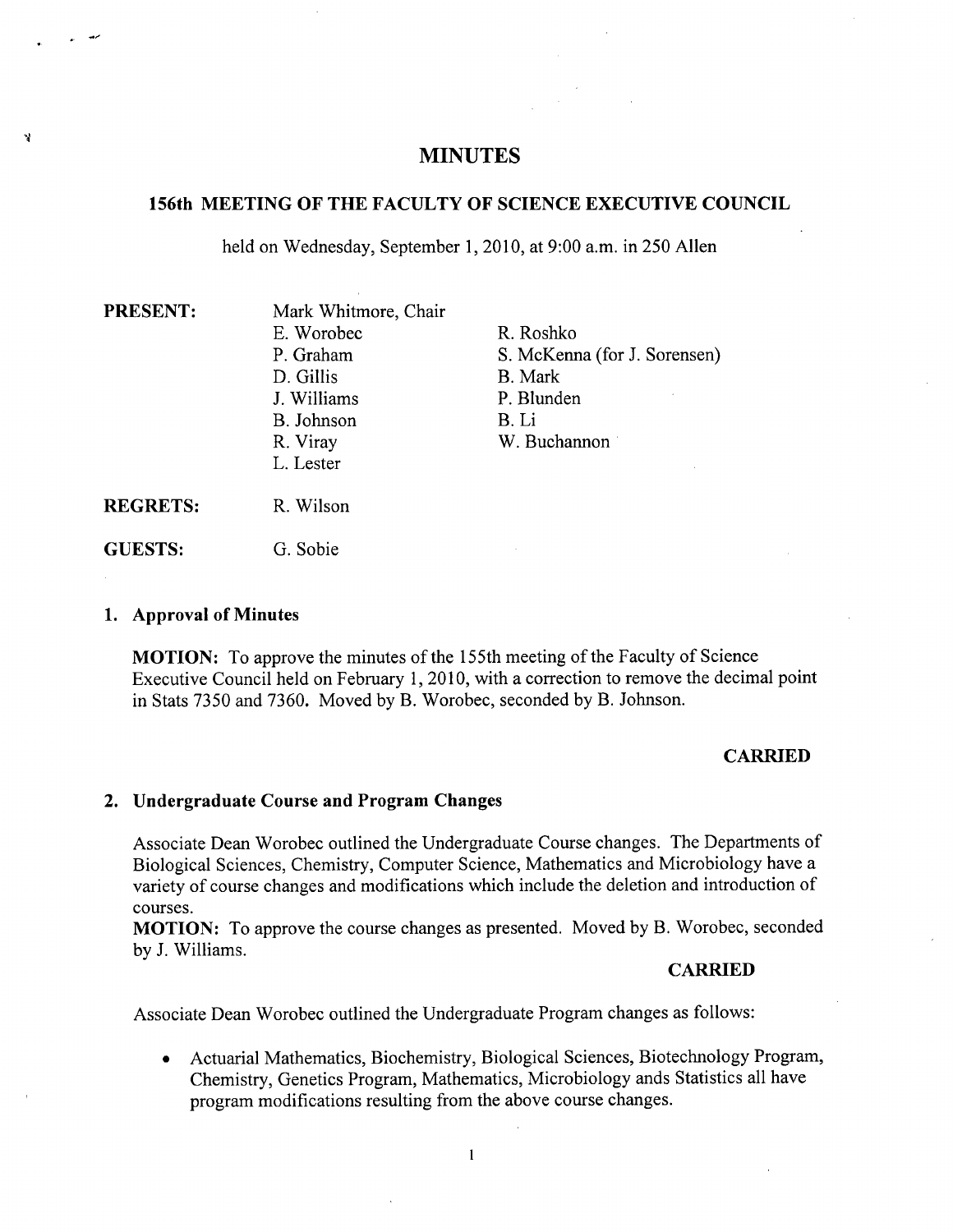# **MINUTES**

# **156th MEETING OF THE FACULTY OF SCIENCE EXECUTIVE COUNCIL**

held on Wednesday, September 1, 2010, at 9:00 a.m. in 250 Allen

| <b>PRESENT:</b> | Mark Whitmore, Chair |                              |
|-----------------|----------------------|------------------------------|
|                 | E. Worobec           | R. Roshko                    |
|                 | P. Graham            | S. McKenna (for J. Sorensen) |
|                 | D. Gillis            | B. Mark                      |
|                 | J. Williams          | P. Blunden                   |
|                 | B. Johnson           | B. Li                        |
|                 | R. Viray             | W. Buchannon                 |
|                 | L. Lester            |                              |
| <b>REGRETS:</b> | R. Wilson            |                              |
|                 |                      |                              |

#### **Approval of Minutes**

**GUESTS:** 

**MOTION:** To approve the minutes of the 155th meeting of the Faculty of Science Executive Council held on February 1, 2010, with a correction to remove the decimal point in Stats *7350* and 7360. Moved by B. Worobec, seconded by B. Johnson.

## **CARRIED**

## **Undergraduate Course and Program Changes**

G. Sobie

Associate Dean Worobec outlined the Undergraduate Course changes. The Departments of Biological Sciences, Chemistry, Computer Science, Mathematics and Microbiology have a variety of course changes and modifications which include the deletion and introduction of courses.

**MOTION:** To approve the course changes as presented. Moved by B. Worobec, seconded by J. Williams.

## **CARRIED**

Associate Dean Worobec outlined the Undergraduate Program changes as follows:

Actuarial Mathematics, Biochemistry, Biological Sciences, Biotechnology Program,  $\bullet$ Chemistry, Genetics Program, Mathematics, Microbiology ands Statistics all have program modifications resulting from the above course changes.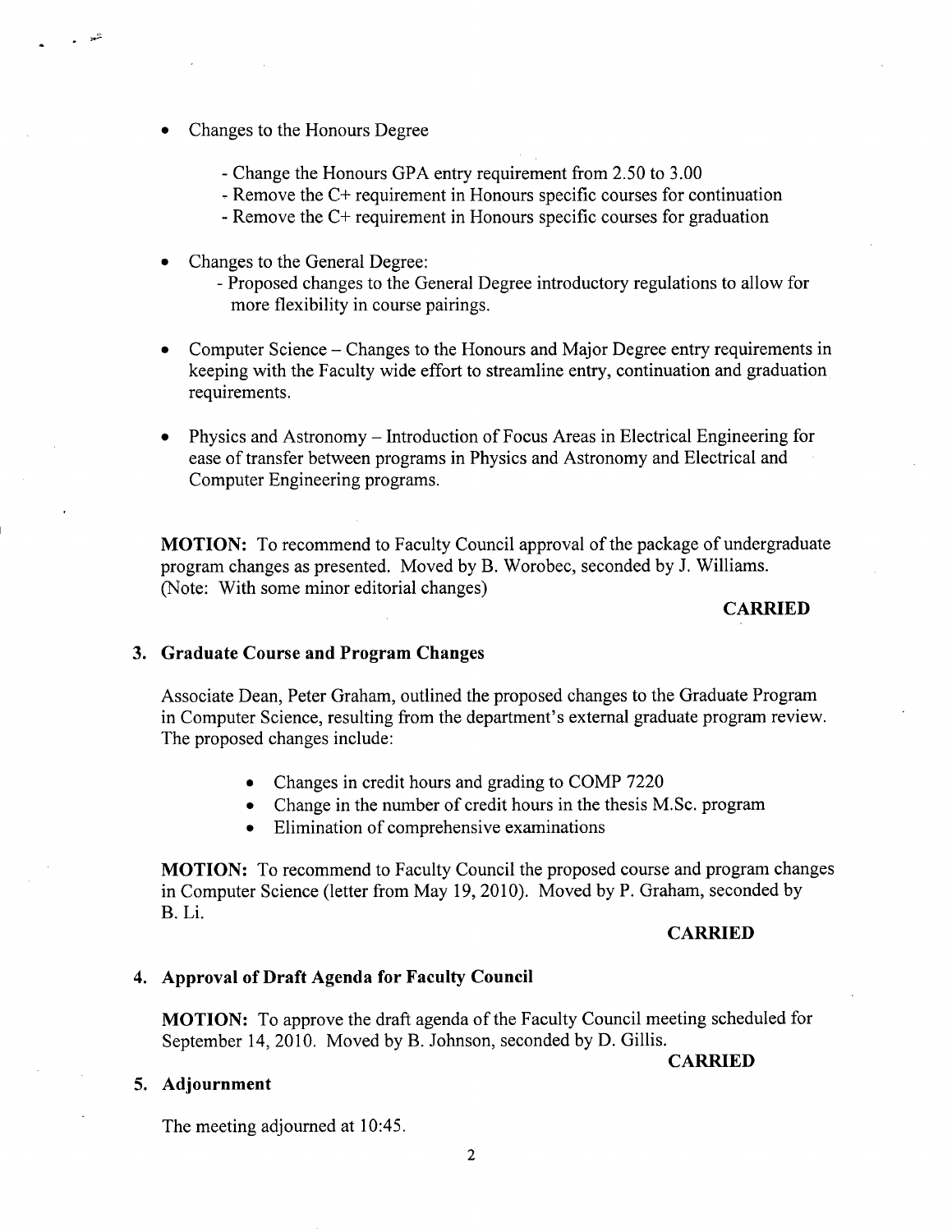- Changes to the Honours Degree
	- Change the Honours GPA entry requirement from 2.50 to 3.00
	- Remove the C+ requirement in Honours specific courses for continuation
	- Remove the C+ requirement in Honours specific courses for graduation
- Changes to the General Degree:
	- Proposed changes to the General Degree introductory regulations to allow for more flexibility in course pairings.
- Computer Science Changes to the Honours and Major Degree entry requirements in keeping with the Faculty wide effort to streamline entry, continuation and graduation requirements.
- Physics and Astronomy Introduction of Focus Areas in Electrical Engineering for ease of transfer between programs in Physics and Astronomy and Electrical and Computer Engineering programs.

**MOTION:** To recommend to Faculty Council approval of the package of undergraduate program changes as presented. Moved by B. Worobec, seconded by J. Williams. (Note: With some minor editorial changes)

## **CARRIED**

## **Graduate Course and Program Changes**

Associate Dean, Peter Graham, outlined the proposed changes to the Graduate Program in Computer Science, resulting from the department's external graduate program review. The proposed changes include:

- Changes in credit hours and grading to COMP 7220
- Change in the number of credit hours in the thesis M.Sc. program
- Elimination of comprehensive examinations

**MOTION:** To recommend to Faculty Council the proposed course and program changes in Computer Science (letter from May 19, 2010). Moved by P. Graham, seconded by **B.** Li.

## **CARRIED**

#### **Approval of Draft Agenda for Faculty Council**

**MOTION:** To approve the draft agenda of the Faculty Council meeting scheduled for September 14, 2010. Moved by B. Johnson, seconded by D. Gillis.

#### **CARRIED**

## **Adjournment**

The meeting adjourned at 10:45.